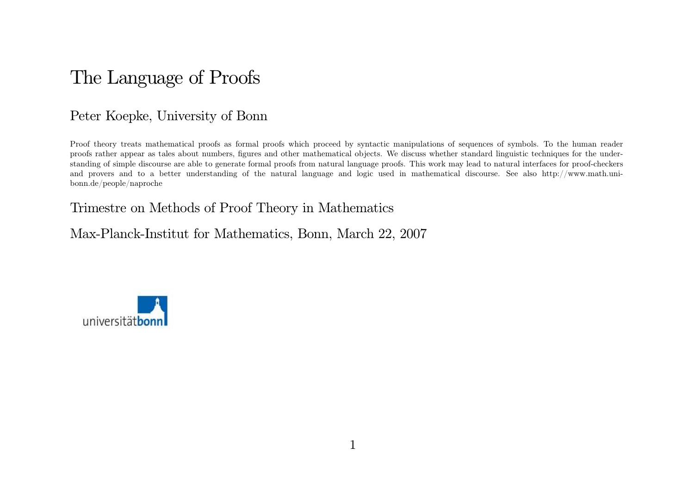# The Language of Proofs

## Peter Koepke, University of Bonn

Proof theory treats mathematical proofs as formal proofs which proceed by syntactic manipulations of sequences of symbols. To the human reader proofs rather appear as tales about numbers, figures and other mathematical objects. We discuss whether standard linguistic techniques for the understanding of simple discourse are able to generate formal proofs from natural language proofs. This work may lead to natural interfaces for proof-checkers and provers and to <sup>a</sup> better understanding of the natural language and logic used in mathematical discourse. See also http://www. math. unibonn. de/people/naproche

### Trimestre on Methods of Proof Theory in Mathematics

Max-Planck-Institut for Mathematics, Bonn, March 22, 2007

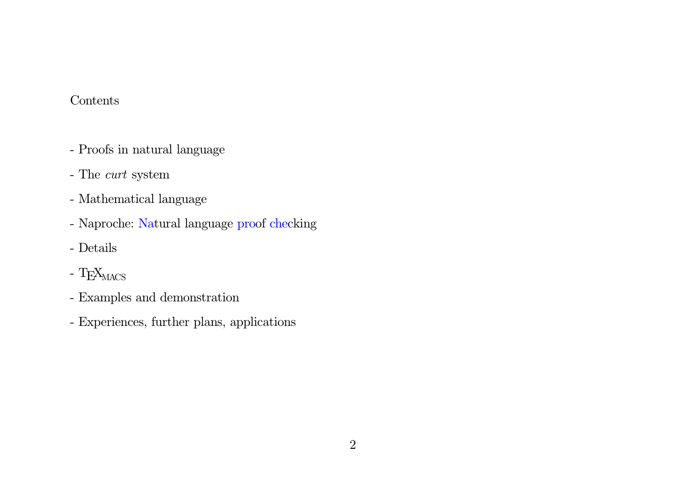### Contents

- Proofs in natural language
- The *curt* system
- Mathematical language
- Naproche: Natural language proof checking
- Details
- T $\rm E X_{\rm MACS}$
- Examples and demonstration
- Experiences, further plans, applications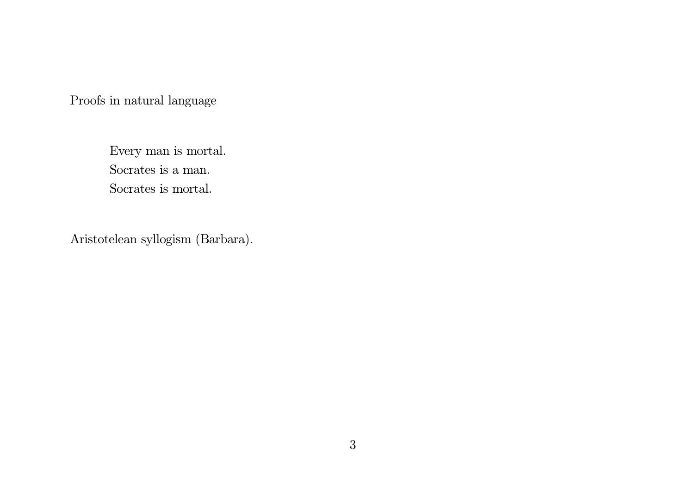Proofs in natural language

Every man is mortal. Socrates is <sup>a</sup> man. Socrates is mortal.

Aristotelean syllogism (Barbara) .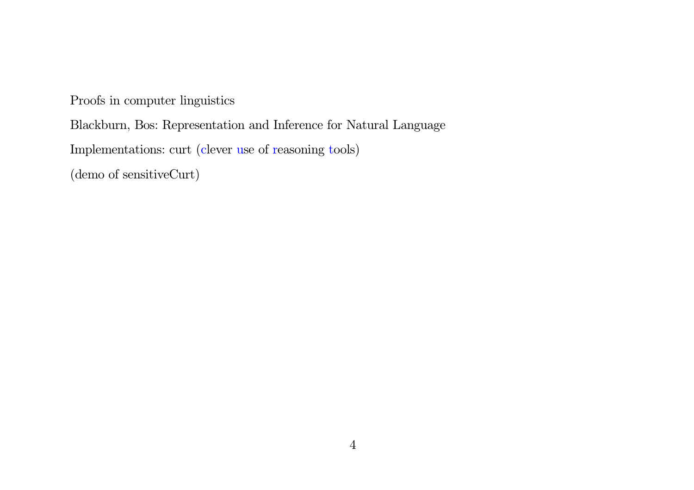Proofs in computer linguistics

Blackburn, Bos: Representation and Inference for Natural Language

Implementations: curt (clever use of reasoning tools)

(demo of sensitiveCurt)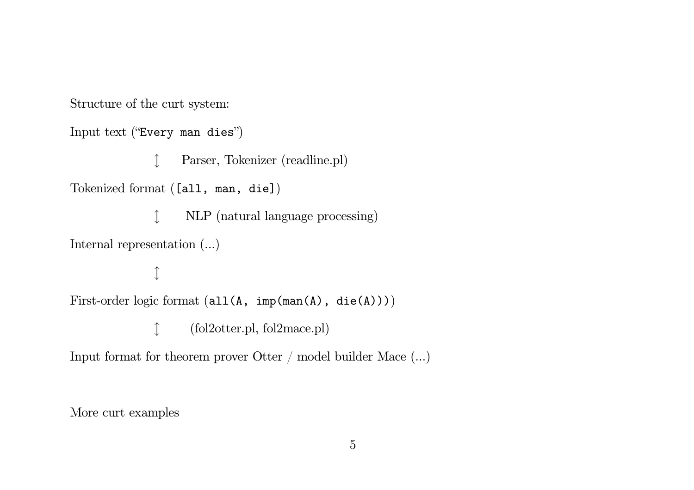Structure of the curt system:

Input text ("Every man dies")

l Parser, Tokenizer (readline. <sup>p</sup>l)  $\rm{Tokenized}$   $\rm{format}$   $\rm{(Iall, \;man, \; dieJ)}$ 1 NLP (natural language processing) Internal representation  $(\ldots)$ l  $\text{First-order logic format (all(A, \text{ imp}(\texttt{man(A)}, \texttt{die(A)})))}$ l (fol2otter. <sup>p</sup>l, fol2mace. <sup>p</sup>l)

Input format for theorem prover Otter  $/$  model builder Mace  $(...)$ 

More curt examples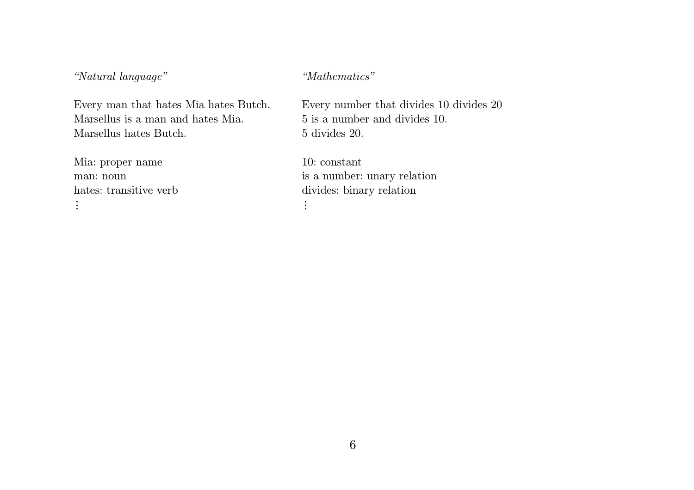*"Natural language" "Mathematics"*

Every man that hates Mia hates Butch. Every number that divides  $10$  divides  $20$ Marsellus is <sup>a</sup> manMarsellus hates Butch. 5 divides 20.

Mia: proper name 10: constant man: nounhates: transitive verb

5 is a number and divides 10.

 is <sup>a</sup> number: unary relation divides: binary relation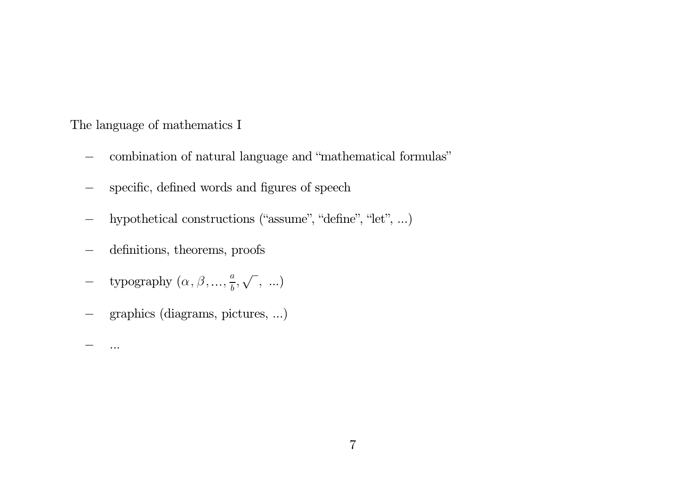The language of mathematics I

- −combination of natural language and "mathematical formulas"
- −specific, defined words and figures of speech
- −hypothetical constructions ("assume", "define", "let", ...)
- −definitions, theorems, proofs
- −- typography  $(\alpha, \beta, ..., \frac{a}{b}, \sqrt{\ } , \ldots)$
- −graphics (diagrams, pictures, ...)

. . .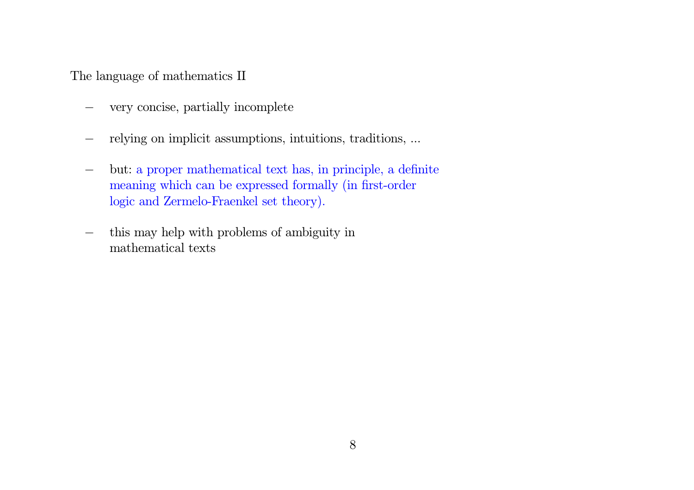The language of mathematics II

- −very concise, partially incomplete
- −relying on implicit assumptions, intuitions, traditions, ...
- − but: <sup>a</sup> proper mathematical text has, in principle, <sup>a</sup> definite meaning which can be expressed formally (in first-order logic and Zermelo-Fraenkel set theory).
- − this may help with problems of ambiguity in mathematical texts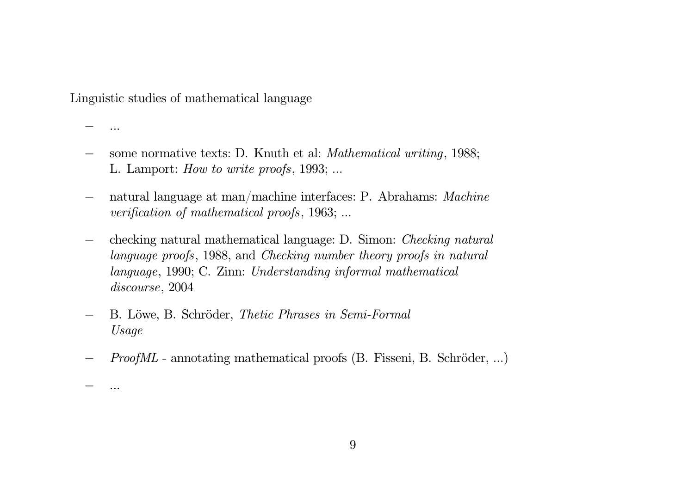Linguistic studies of mathematical language

- . . .
- −some normative texts: D. Knuth et al: *Mathematical writing*, 1988; L. Lamport: *How to write proofs*, 1 993; . . .
- − natural language at man/machine interfaces: P. Abrahams: *Machine verification of mathematical proofs*, 1963; ...
- − checking natural mathematical language: D. Simon: *Checking natural language proofs*, 1 988, and *Checking number theory proofs in natural language*, 1990; C. Zinn: *Understanding informal mathematical discourse*, 2004
- − B. Löwe, B. Schröder, *Thetic Phrases in Semi-Formal Usage*
- *ProofML* annotating mathematical proofs (B. Fisseni, B. Schröder, ...)
- . . .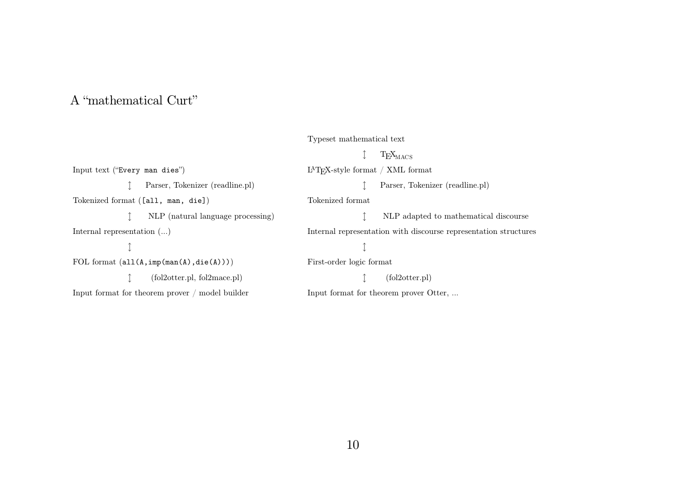### A "mathematical Curt"

### Typeset mathematical text

Input text ("Every man dies") l Parser, Tokenizer (readline. <sup>p</sup>l)  $T\!o\!kenized format ($  [all, man, die])  $\uparrow$  NLP (natural language processing) Internal representation  $(\ldots)$  $\uparrow$  ${\rm FOL}$  format  $({\tt all(A,imp(man(A),die(A))})$ l (fol2otter. <sup>p</sup>l, fol2mace. <sup>p</sup>l) Input format for theorem prover / model builder  $\updownarrow$  T<sub>E</sub>X $_{\rm MACS}$ <sup>L</sup><sup>A</sup>TEX-style format / XML format l Parser, Tokenizer (readline. <sup>p</sup>l) Tokenized format  $\hat{\mathbb{L}}$  NLP adapted to mathematical discourse Internal representation with discourse representation structures l First-order logic format  $\uparrow$  (fol2otter.pl) Input format for theorem prover Otter, ...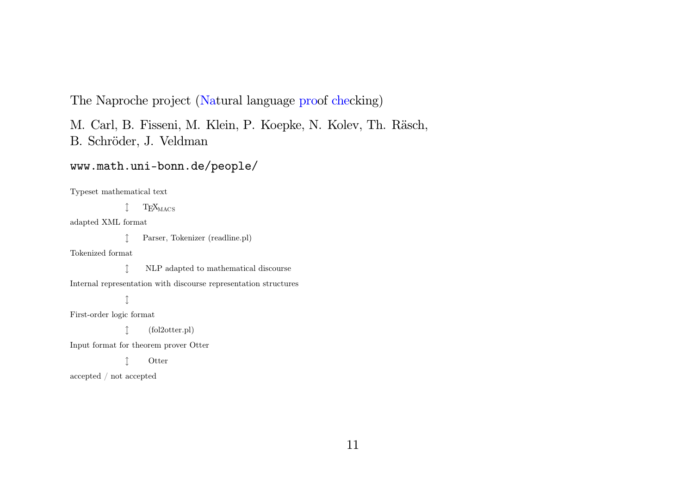The Naproche project (Natural language proof checking)

M. Carl, B. Fisseni, M. Klein, P. Koepke, N. Kolev, Th. Räsch, B. Schröder, J. Veldman

### www. math. uni- bonn. de/people/

Typeset mathematical text

 $\updownarrow$  T<sub>E</sub>X $_{\rm MACS}$ 

adapted XML format

l Parser, Tokenizer (readline. <sup>p</sup>l)

Tokenized format

 $\uparrow$  NLP adapted to mathematical discourse

Internal representation with discourse representation structures

 $\uparrow$ 

First-order logic format

l (fol2otter. <sup>p</sup>l)

Input format for theorem prover Otter

**Otter** 

accepted / not accepted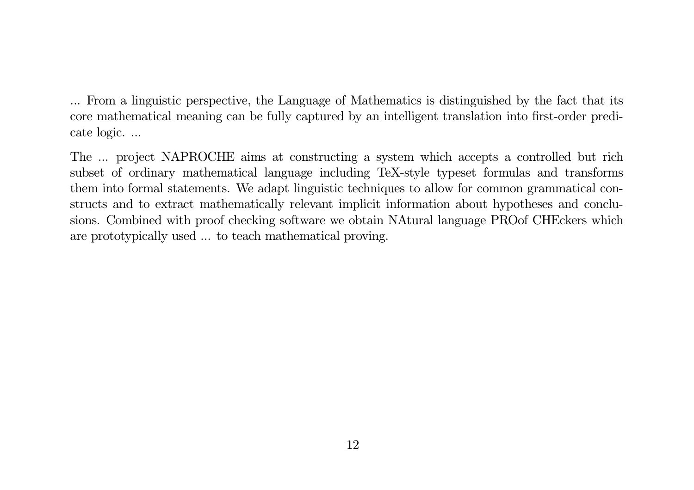. . . From <sup>a</sup> linguistic perspective, the Language of Mathematics is distinguished by the fact that its core mathematical meaning can be fully captured by an intelligent translation into first-order predicate logic. ...

The ... project NAPROCHE aims at constructing a system which accepts a controlled but rich subset of ordinary mathematical language including TeX-style typeset formulas and transforms them into formal statements. We adapt linguistic techniques to allow for common grammatical constructs and to extract mathematically relevant implicit information about hypotheses and conclusions. Combined with proof checking software we obtain NAtural language PROof CHEckers which are prototypically used ... to teach mathematical proving.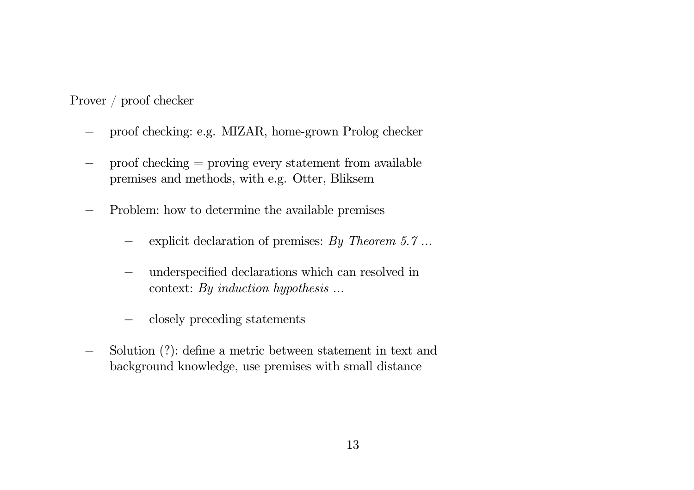Prover / proof checker

- −proof checking: e.g. MIZAR, home-grown Prolog checker
- − proof checking <sup>=</sup> proving every statement from available premises and methods, with e.g. Otter, Bliksem
- −- Problem: how to determine the available premises
	- −explicit declaration of premises: *By Theorem 5. 7 . . .*
	- − underspecified declarations which can resolved in context: *By induction hypothesis . . .*
	- −closely preceding statements
- −Solution (?): define a metric between statement in text and background knowledge, use premises with small distance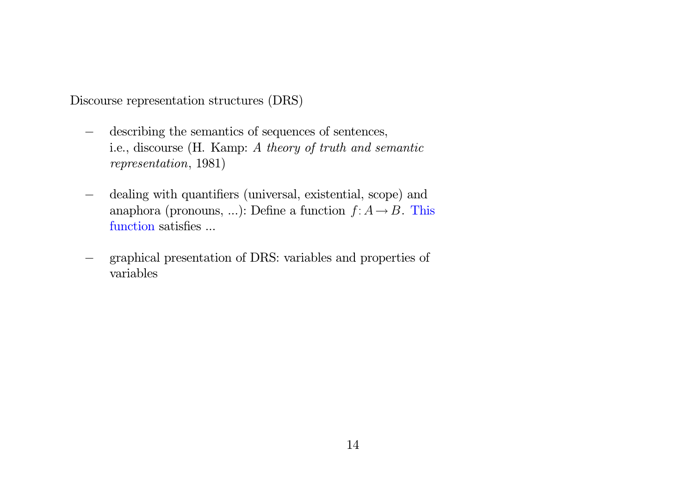Discourse representation structures (DRS)

- −describing the semantics of sequences of sentences, i. e. , discourse (H. Kamp: *A theory of truth and semantic representation*, 1981)
- −dealing with quantifiers (universal, existential, scope) and anaphora (pronouns, ...): Define a function  $f: A \rightarrow B$ . This function satisfies . . .
- − graphical presentation of DRS: variables and properties of variables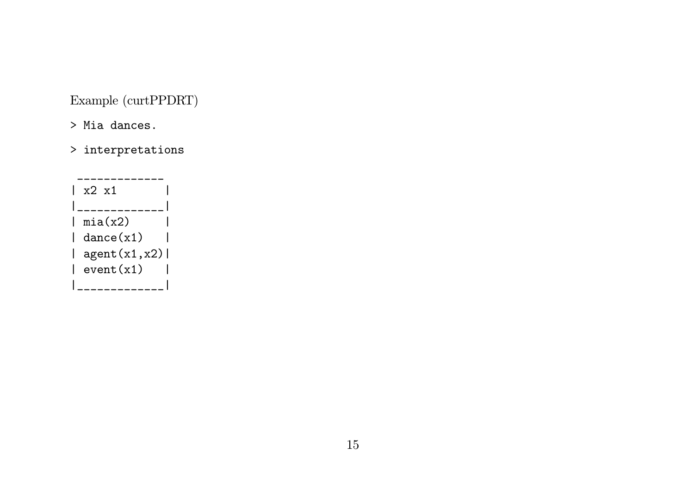Example (curtPPDRT)

- > Mia dances.
- > interpretations

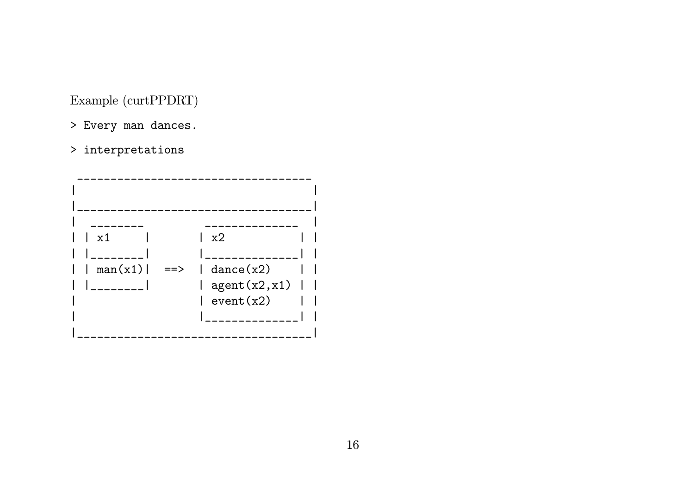Example (curtPPDRT)

- > Every man dances.
- $>$  interpretations

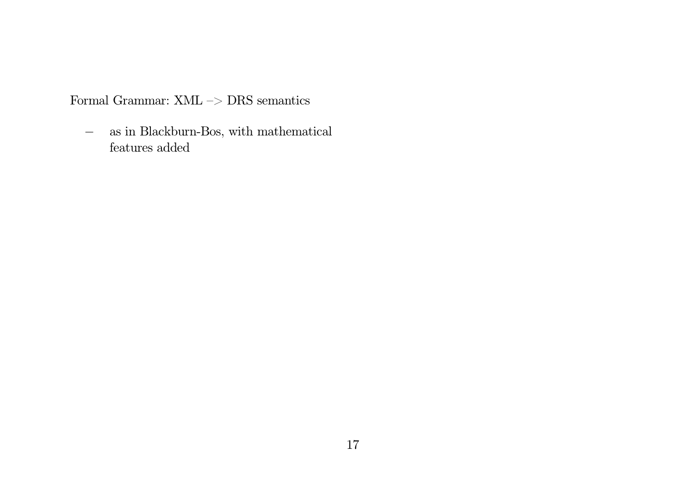Formal Grammar: XML –> DRS semantics

− as in Blackburn-Bos, with mathematical features added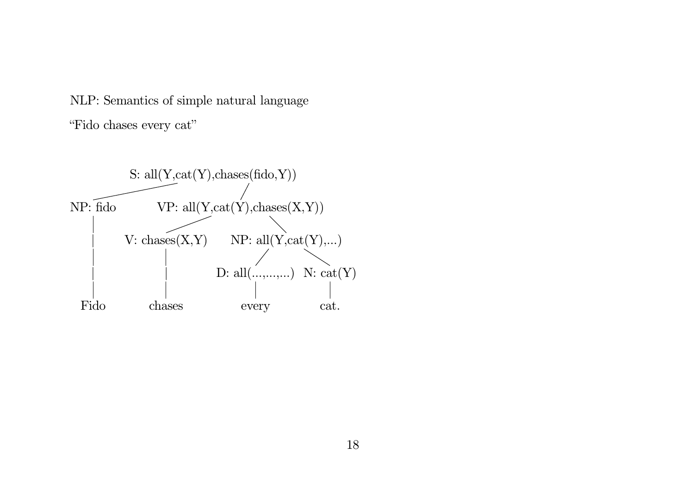NLP: Semantics of simple natural language "Fido chases every cat"

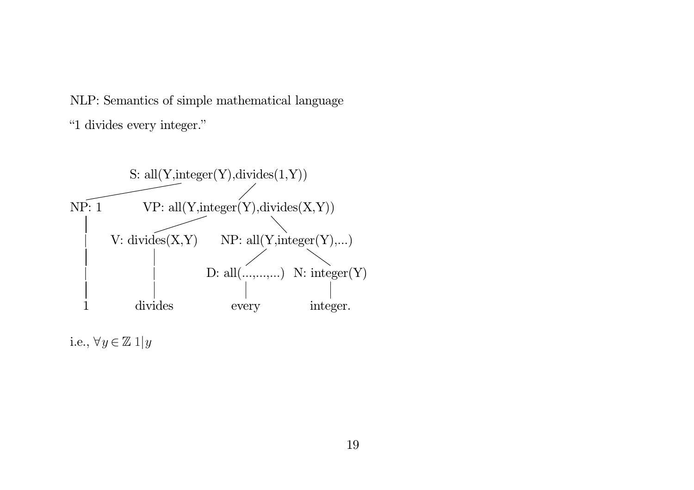NLP: Semantics of simple mathematical language "1 divides every integer."



i.e.,  $\forall y\in\mathbb{Z} \ 1|y$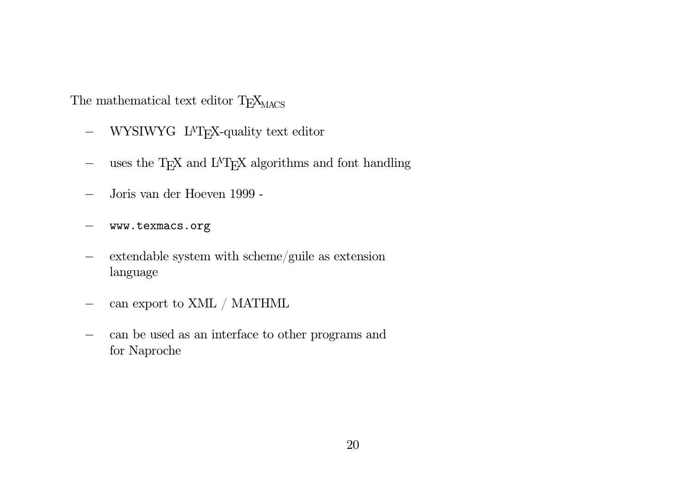The mathematical text editor  $T_{\text{E}}\text{X}_{\text{MACS}}$ 

- −- WYSIWYG L<sup>A</sup>T<sub>E</sub>X-quality text editor
- −uses the T<sub>E</sub>X and L<sup>A</sup>T<sub>E</sub>X algorithms and font handling
- −Joris van der Hoeven 1999 -
- −www. texmacs. org
- − extendable system with scheme/guile as extension language
- −can export to XML / MATHML
- − can be used as an interface to other programs and for Naproche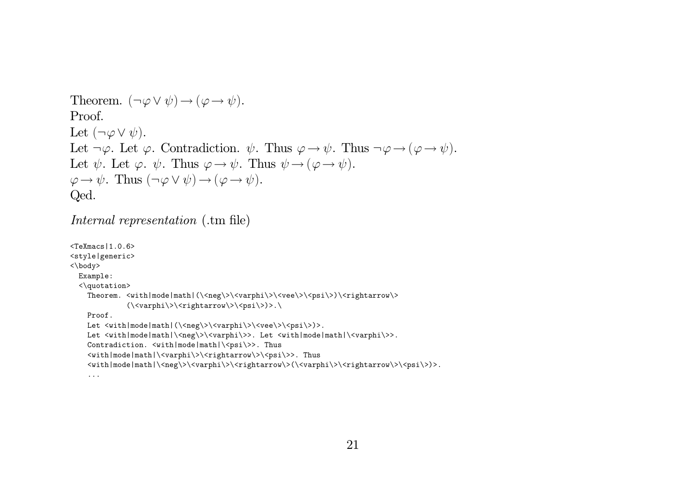```
Theorem. (\neg \varphi \lor \psi) \rightarrow (\varphi \rightarrow \psi).
Proof.
 Let (\neg \varphi \vee \psi).Let \neg \varphi. Let \varphi. Contradiction. \psi. Thus \varphi \rightarrow \psi. Thus \neg \varphi \rightarrow (\varphi \rightarrow \psi).
 Let \psi. Let \varphi. \psi. Thus \varphi \rightarrow \psi. Thus \psi \rightarrow (\varphi \rightarrow \psi).
\varphi \to \psi. Thus (\neg \varphi \lor \psi) \to (\varphi \to \psi).
Qed.
```

```
Internal representation ( .tm file)
```
. . .

```
<TeXmac s | 1 . 0. 6>
<style|generic>
< \body>
  Example:
  \langle \text{quotation} \rangleTheorem. <with|mode|math|(\<neg\>\<varphi\>\<vee\>\<psi\>)\<rightarrow\>
                (\langle varphi \rangle > \langle rightarrow \rangle > \langle psi \rangle >).Proof .
     Let <with|mode|math|(\<neg\>\<varphi\>\<vee\>\<psi\>)>.
     Let <with|mode|math|\<neg\>\<varphi\>>. Let <with|mode|math|\<varphi\>>.
     \mathtt{Controliction.~<with|mode|math>\verb|~xi|>>.~Thus}<with|mode|math|\<varphi\>\<rightarrow\>\<psi\>>. Thus
     <wi th| mode| math| \ <neg\ > \ <varphi \ >\ <ri ghtarrow\ > ( \ <varphi \ > \ <ri ghtarrow\ >\ <ps i \ >) > .
```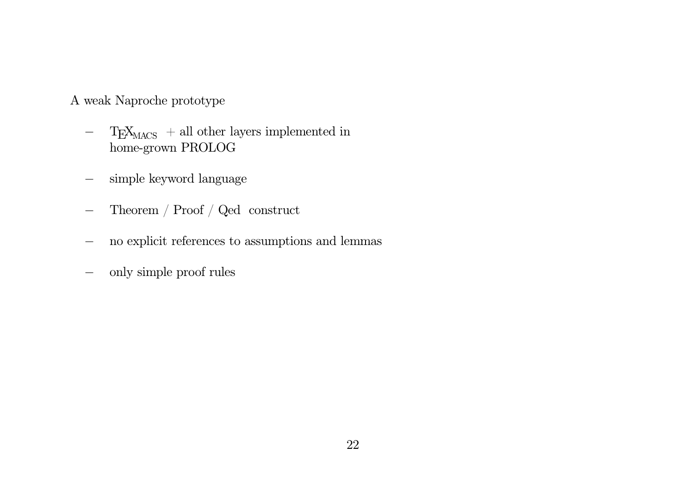A weak Naproche prototype

- $-$  T<sub>E</sub>X<sub>MACS</sub> + all other layers implemented in home-grown PROLOG
- −simple keyword language
- −- Theorem / Proof / Qed construct
- −no explicit references to assumptions and lemmas
- −only simple proof rules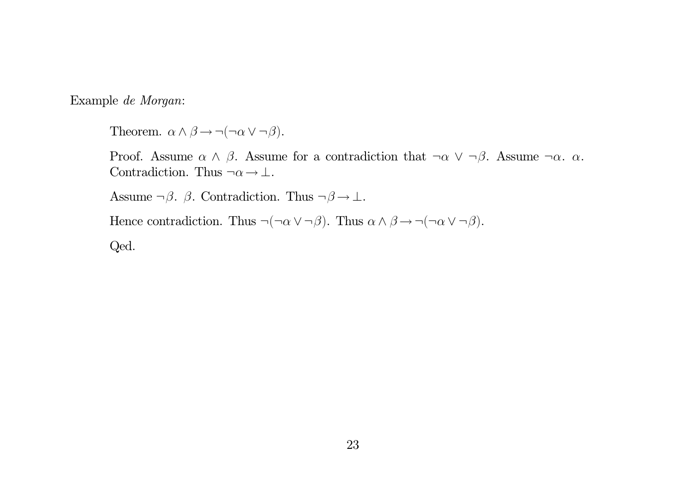Example *de Morgan*:

Theorem.  $\alpha \wedge \beta \rightarrow \neg(\neg \alpha \vee \neg \beta)$ .

Proof. Assume  $\alpha \wedge \beta$ . Assume for a contradiction that  $\neg \alpha \vee \neg \beta$ . Assume  $\neg \alpha$ .  $\alpha$ . Contradiction. Thus  $\neg \alpha \rightarrow \bot$ .

Assume  $\neg \beta$ .  $\beta$ . Contradiction. Thus  $\neg \beta \rightarrow \bot$ .

Hence contradiction. Thus  $\neg(\neg \alpha \lor \neg \beta)$ . Thus  $\alpha \land \beta \rightarrow \neg(\neg \alpha \lor \neg \beta)$ .

Qed.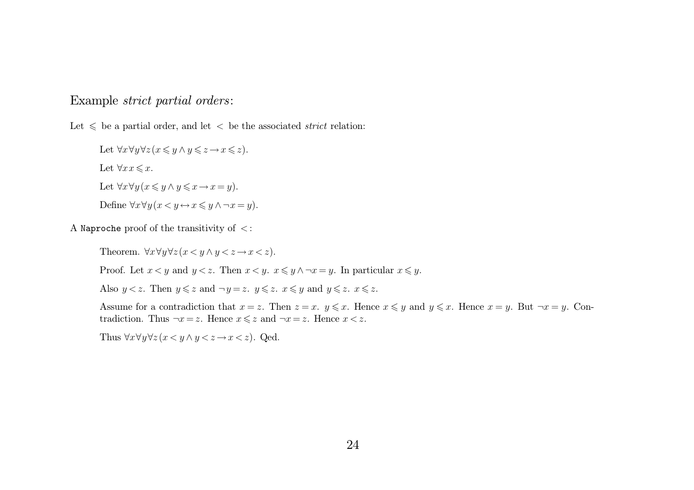### Example *strict partial orders*:

Let  $\leq$  be a partial order, and let  $\leq$  be the associated *strict* relation:

Let  $\forall x \forall y \forall z (x \leq y \land y \leq z \rightarrow x \leq z).$ Let  $\forall x \in \mathcal{x}$ . Let  $\forall x \forall y (x \leq y \land y \leq x \rightarrow x = y)$ . Define  $\forall x \forall y (x \langle y \leftrightarrow x \leq y \land \neg x = y).$ 

A Naproche proof of the transitivity of <sup>&</sup>lt; :

Theorem.  $\forall x \forall y \forall z (x \langle y \land y \langle z \to x \langle z \rangle).$ 

Proof. Let  $x < y$  and  $y < z$ . Then  $x < y$ .  $x \leq y \land \neg x = y$ . In particular  $x \leq y$ .

Also  $y < z$ . Then  $y \leq z$  and  $\neg y = z$ .  $y \leq z$ .  $x \leq y$  and  $y \leq z$ .  $x \leq z$ .

Assume for a contradiction that  $x = z$ . Then  $z = x$ .  $y \leq x$ . Hence  $x \leq y$  and  $y \leq x$ . Hence  $x = y$ . But  $\neg x = y$ . Contradiction. Thus  $\neg x = z$ . Hence  $x \leq z$  and  $\neg x = z$ . Hence  $x < z$ .

Thus  $\forall x \forall y \forall z (x \langle y \land y \langle z \rangle \rightarrow x \langle z \rangle)$ . Qed.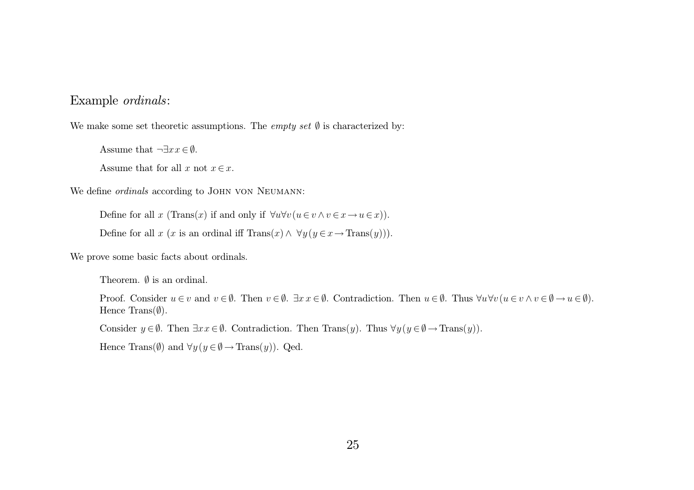### Example *ordinals*:

We make some set theoretic assumptions. The *empty* set  $\emptyset$  is characterized by:

Assume that  $\neg \exists x \, x \in \emptyset$ .

Assume that for all x not  $x \in x$ .

We define *ordinals* according to John von Neumann:

Define for all x (Trans(x) if and only if  $\forall u \forall v (u \in v \land v \in x \rightarrow u \in x)$ ).

Define for all x (x is an ordinal iff  $\text{Trans}(x) \wedge \forall y (y \in x \rightarrow \text{Trans}(y))$ ).

We prove some basic facts about ordinals.

Theorem.  $\emptyset$  is an ordinal.

Proof. Consider  $u \in v$  and  $v \in \emptyset$ . Then  $v \in \emptyset$ .  $\exists x \ x \in \emptyset$ . Contradiction. Then  $u \in \emptyset$ . Thus  $\forall u \forall v \ (u \in v \land v \in \emptyset \to u \in \emptyset)$ . Hence Trans $(\emptyset)$ .

Consider  $y \in \emptyset$ . Then  $\exists x \, x \in \emptyset$ . Contradiction. Then  $\text{Trans}(y)$ . Thus  $\forall y \, (y \in \emptyset \to \text{Trans}(y))$ .

Hence Trans( $\emptyset$ ) and  $\forall y (y \in \emptyset \rightarrow \text{Trans}(y))$ . Qed.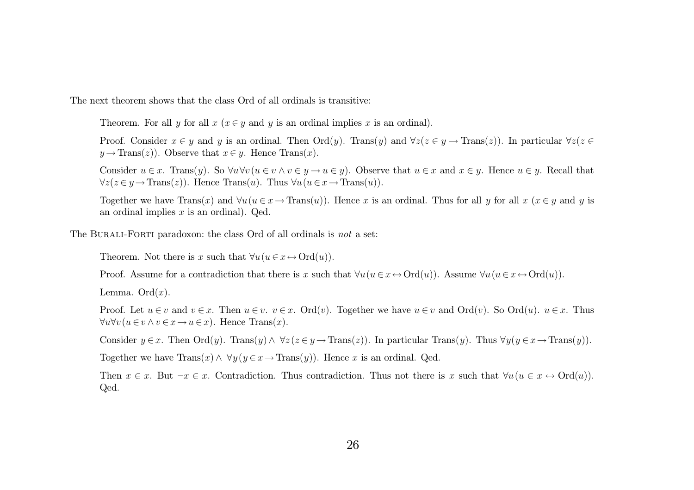The next theorem shows that the class Ord of all ordinals is transitive:

Theorem. For all y for all  $x ( x \in y$  and y is an ordinal implies x is an ordinal).

Proof. Consider  $x \in y$  and y is an ordinal. Then  $\text{Ord}(y)$ . Trans $(y)$  and  $\forall z(z \in y \to \text{Trans}(z))$ . In particular  $\forall z(z \in y \to \text{Trans}(z))$  $y \rightarrow \text{Trans}(z)$ ). Observe that  $x \in y$ . Hence  $\text{Trans}(x)$ .

Consider  $u \in x$ . Trans $(y)$ . So  $\forall u \forall v (u \in v \land v \in y \to u \in y)$ . Observe that  $u \in x$  and  $x \in y$ . Hence  $u \in y$ . Recall that  $\forall z (z \in y \rightarrow \text{Trans}(z))$ . Hence  $\text{Trans}(u)$ . Thus  $\forall u (u \in x \rightarrow \text{Trans}(u))$ .

Together we have  $\text{Trans}(x)$  and  $\forall u (u \in x \rightarrow \text{Trans}(u))$ . Hence x is an ordinal. Thus for all y for all  $x (x \in y)$  and y is an ordinal implies  $x$  is an ordinal). Qed.

The Burali-Forti paradoxon: the class Ord of all ordinals is *not* <sup>a</sup> set:

Theorem. Not there is x such that  $\forall u (u \in x \leftrightarrow \text{Ord}(u))$ .

Proof. Assume for a contradiction that there is x such that  $\forall u(u \in x \leftrightarrow \text{Ord}(u))$ . Assume  $\forall u(u \in x \leftrightarrow \text{Ord}(u))$ .

Lemma. Ord $(x)$ .

Proof. Let  $u \in v$  and  $v \in x$ . Then  $u \in v$ .  $v \in x$ . Ord $(v)$ . Together we have  $u \in v$  and Ord $(v)$ . So Ord $(u)$ .  $u \in x$ . Thus  $\forall u \forall v (u \in v \land v \in x \rightarrow u \in x)$ . Hence Trans $(x)$ .

Consider  $y \in x$ . Then  $\text{Ord}(y)$ . Trans $(y) \wedge \forall z (z \in y \rightarrow \text{Trans}(z))$ . In particular Trans $(y)$ . Thus  $\forall y (y \in x \rightarrow \text{Trans}(y))$ .

Together we have  $\text{Trans}(x) \wedge \forall y (y \in x \rightarrow \text{Trans}(y))$ . Hence x is an ordinal. Qed.

Then  $x \in x$ . But  $\neg x \in x$ . Contradiction. Thus contradiction. Thus not there is x such that  $\forall u (u \in x \leftrightarrow Ord(u))$ . Qed.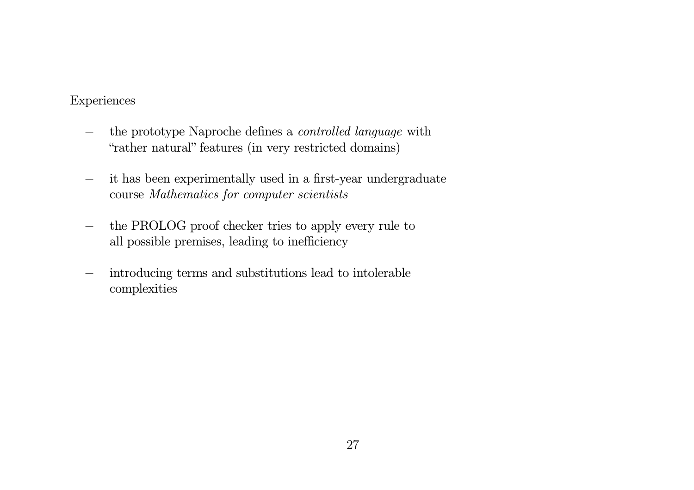### Experiences

- − the prototype Naproche defines <sup>a</sup> *controlled language* with "rather natural" features (in very restricted domains)
- − it has been experimentally used in <sup>a</sup> first-year undergraduate course *Mathematics for computer scientists*
- −- the PROLOG proof checker tries to apply every rule to all possible premises, leading to inefficiency
- − introducing terms and substitutions lead to intolerable complexities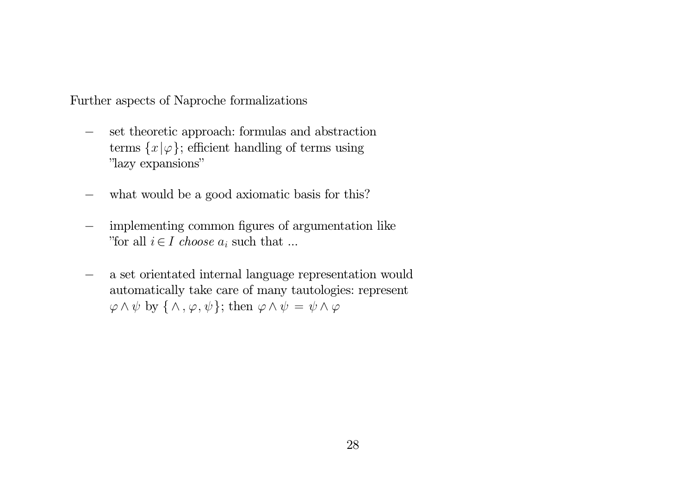Further aspects of Naproche formalizations

- − set theoretic approach: formulas and abstraction terms  $\{x | \varphi\}$ ; efficient handling of terms using "lazy expansions"
- −what would be <sup>a</sup> good axiomatic basis for this?
- − implementing common figures of argumentation like "for all  $i \in I$  *choose*  $a_i$  such that ...
- − <sup>a</sup> set orientated internal language representation would automatically take care of many tautologies: represent  $\varphi \wedge \psi$  by  $\{\wedge, \varphi, \psi\}$ ; then  $\varphi \wedge \psi = \psi \wedge \varphi$